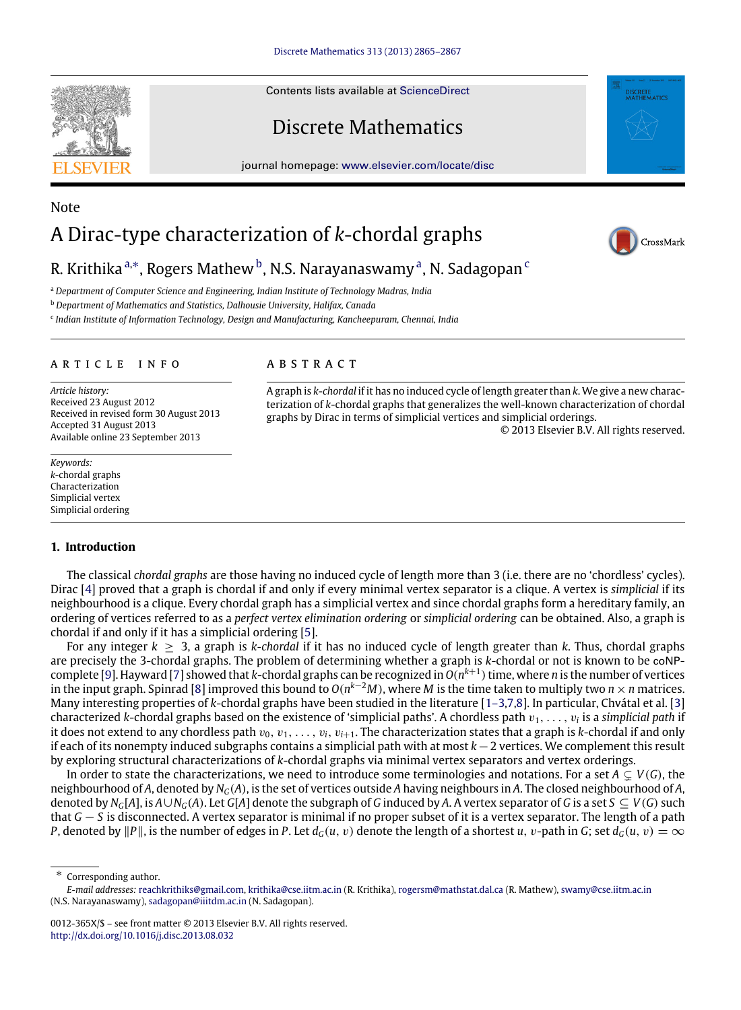Contents lists available at [ScienceDirect](http://www.elsevier.com/locate/disc)

## Discrete Mathematics

journal homepage: [www.elsevier.com/locate/disc](http://www.elsevier.com/locate/disc)

# A Dirac-type characterization of *k*-chordal graphs



© 2013 Elsevier B.V. All rights reserved.

### R. Krithika <sup>[a,](#page-0-0)[∗](#page-0-1)</sup>, Rogers Mathew <sup>[b](#page-0-2)</sup>, N.S. N[a](#page-0-0)rayanaswamy <sup>a</sup>, N. Sadagopan <sup>[c](#page-0-3)</sup>

A B S T R A C T

<span id="page-0-0"></span><sup>a</sup> *Department of Computer Science and Engineering, Indian Institute of Technology Madras, India*

<span id="page-0-2"></span><sup>b</sup> *Department of Mathematics and Statistics, Dalhousie University, Halifax, Canada*

<span id="page-0-3"></span>c *Indian Institute of Information Technology, Design and Manufacturing, Kancheepuram, Chennai, India*

#### a r t i c l e i n f o

*Article history:* Received 23 August 2012 Received in revised form 30 August 2013 Accepted 31 August 2013 Available online 23 September 2013

*Keywords: k*-chordal graphs Characterization Simplicial vertex Simplicial ordering

#### **1. Introduction**

The classical *chordal graphs* are those having no induced cycle of length more than 3 (i.e. there are no 'chordless' cycles). Dirac [\[4\]](#page-2-0) proved that a graph is chordal if and only if every minimal vertex separator is a clique. A vertex is *simplicial* if its neighbourhood is a clique. Every chordal graph has a simplicial vertex and since chordal graphs form a hereditary family, an ordering of vertices referred to as a *perfect vertex elimination ordering* or *simplicial ordering* can be obtained. Also, a graph is chordal if and only if it has a simplicial ordering [\[5\]](#page-2-1).

A graph is *k*-*chordal* if it has no induced cycle of length greater than *k*. We give a new characterization of *k*-chordal graphs that generalizes the well-known characterization of chordal

graphs by Dirac in terms of simplicial vertices and simplicial orderings.

For any integer *k* ≥ 3, a graph is *k-chordal* if it has no induced cycle of length greater than *k*. Thus, chordal graphs are precisely the 3-chordal graphs. The problem of determining whether a graph is *k*-chordal or not is known to be coNPcomplete [\[9\]](#page-2-2). Hayward [\[7\]](#page-2-3) showed that *k*-chordal graphs can be recognized in *O*(*n k*+1 )time, where *n* is the number of vertices in the input graph. Spinrad [\[8\]](#page-2-4) improved this bound to *O*(*n <sup>k</sup>*−<sup>2</sup>*M*), where *M* is the time taken to multiply two *n*×*n* matrices. Many interesting properties of *k*-chordal graphs have been studied in the literature [\[1–3,](#page-2-5)[7,](#page-2-3)[8\]](#page-2-4). In particular, Chvátal et al. [\[3\]](#page-2-6) characterized *k*-chordal graphs based on the existence of 'simplicial paths'. A chordless path  $v_1, \ldots, v_i$  is a *simplicial path* if it does not extend to any chordless path  $v_0, v_1, \ldots, v_i, v_{i+1}$ . The characterization states that a graph is *k*-chordal if and only if each of its nonempty induced subgraphs contains a simplicial path with at most *k*−2 vertices. We complement this result by exploring structural characterizations of *k*-chordal graphs via minimal vertex separators and vertex orderings.

In order to state the characterizations, we need to introduce some terminologies and notations. For a set  $A \subsetneq V(G)$ , the neighbourhood of *A*, denoted by *NG*(*A*), is the set of vertices outside *A* having neighbours in *A*. The closed neighbourhood of *A*, denoted by  $N_G[A]$ , is  $A\cup N_G(A)$ . Let  $G[A]$  denote the subgraph of G induced by A. A vertex separator of G is a set  $S \subseteq V(G)$  such that *G* − *S* is disconnected. A vertex separator is minimal if no proper subset of it is a vertex separator. The length of a path *P*, denoted by  $||P||$ , is the number of edges in *P*. Let  $d_G(u, v)$  denote the length of a shortest *u*, *v*-path in *G*; set  $d_G(u, v) = \infty$ 

<span id="page-0-1"></span>∗ Corresponding author.



Note

*E-mail addresses:* [reachkrithiks@gmail.com,](mailto:reachkrithiks@gmail.com) [krithika@cse.iitm.ac.in](mailto:krithika@cse.iitm.ac.in) (R. Krithika), [rogersm@mathstat.dal.ca](mailto:rogersm@mathstat.dal.ca) (R. Mathew), [swamy@cse.iitm.ac.in](mailto:swamy@cse.iitm.ac.in) (N.S. Narayanaswamy), [sadagopan@iiitdm.ac.in](mailto:sadagopan@iiitdm.ac.in) (N. Sadagopan).

<sup>0012-365</sup>X/\$ – see front matter © 2013 Elsevier B.V. All rights reserved. <http://dx.doi.org/10.1016/j.disc.2013.08.032>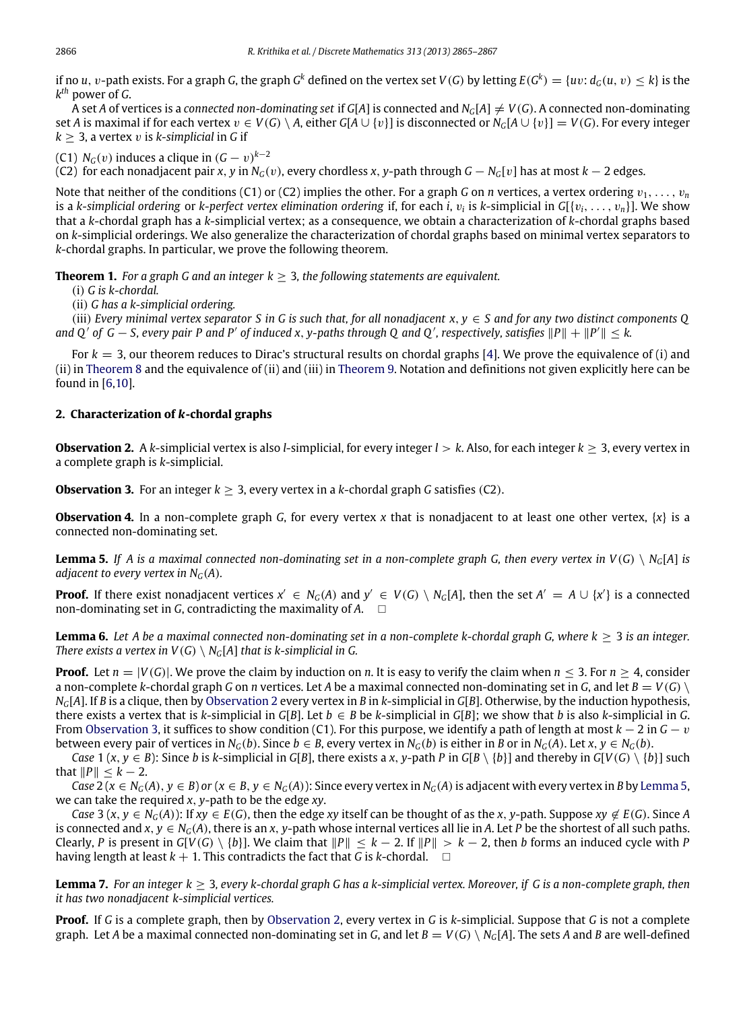if no  $u, v$ -path exists. For a graph G, the graph G $^k$  defined on the vertex set  $V(G)$  by letting  $E(G^k)=\{uv\colon d_G(u,v)\leq k\}$  is the *k th* power of *G*.

A set *A* of vertices is a *connected non-dominating set* if  $G[A]$  is connected and  $N_G[A] \neq V(G)$ . A connected non-dominating set *A* is maximal if for each vertex  $v \in V(G) \setminus A$ , either  $G[A \cup \{v\}]$  is disconnected or  $N_G[A \cup \{v\}] = V(G)$ . For every integer  $k > 3$ , a vertex v is *k*-simplicial in *G* if

(C1)  $N_G(v)$  induces a clique in  $(G - v)^{k-2}$ 

(C2) for each nonadjacent pair *x*, *y* in *NG*(v), every chordless *x*, *y*-path through *G* − *NG*[v] has at most *k* − 2 edges.

Note that neither of the conditions (C1) or (C2) implies the other. For a graph G on *n* vertices, a vertex ordering  $v_1, \ldots, v_n$ is a *k-simplicial ordering* or *k-perfect vertex elimination ordering* if, for each *i*, v*<sup>i</sup>* is *k*-simplicial in *G*[{v*i*, . . . , v*n*}]. We show that a *k*-chordal graph has a *k*-simplicial vertex; as a consequence, we obtain a characterization of *k*-chordal graphs based on *k*-simplicial orderings. We also generalize the characterization of chordal graphs based on minimal vertex separators to *k*-chordal graphs. In particular, we prove the following theorem.

**Theorem 1.** *For a graph G and an integer*  $k > 3$ *, the following statements are equivalent.* 

(i) *G is k-chordal.*

(ii) *G has a k-simplicial ordering.*

(iii) *Every minimal vertex separator S in G is such that, for all nonadjacent x*, *y* ∈ *S and for any two distinct components Q and Q'* of  $G - S$ , every pair P and P' of induced x, y-paths through Q and Q', respectively, satisfies  $||P|| + ||P'|| \leq k$ .

For *k* = 3, our theorem reduces to Dirac's structural results on chordal graphs [\[4\]](#page-2-0). We prove the equivalence of (i) and (ii) in [Theorem 8](#page-2-7) and the equivalence of (ii) and (iii) in [Theorem 9.](#page-2-8) Notation and definitions not given explicitly here can be found in [\[6,](#page-2-9)[10\]](#page-2-10).

#### **2. Characterization of** *k***-chordal graphs**

<span id="page-1-0"></span>**Observation 2.** A *k*-simplicial vertex is also *l*-simplicial, for every integer *l* > *k*. Also, for each integer *k* ≥ 3, every vertex in a complete graph is *k*-simplicial.

<span id="page-1-1"></span>**Observation 3.** For an integer  $k > 3$ , every vertex in a *k*-chordal graph *G* satisfies (C2).

<span id="page-1-3"></span>**Observation 4.** In a non-complete graph *G*, for every vertex *x* that is nonadjacent to at least one other vertex, {*x*} is a connected non-dominating set.

<span id="page-1-2"></span>**Lemma 5.** If A is a maximal connected non-dominating set in a non-complete graph G, then every vertex in  $V(G) \setminus N_G[A]$  is *adjacent to every vertex in*  $N_G(A)$ *.* 

**Proof.** If there exist nonadjacent vertices  $x' \in N_G(A)$  and  $y' \in V(G) \setminus N_G[A]$ , then the set  $A' = A \cup \{x'\}$  is a connected non-dominating set in *G*, contradicting the maximality of *A*.

<span id="page-1-4"></span>**Lemma 6.** *Let A be a maximal connected non-dominating set in a non-complete k-chordal graph G, where k* ≥ 3 *is an integer. There exists a vertex in*  $V(G) \setminus N_G[A]$  *that is k-simplicial in G.* 

**Proof.** Let  $n = |V(G)|$ . We prove the claim by induction on *n*. It is easy to verify the claim when  $n \leq 3$ . For  $n \geq 4$ , consider a non-complete *k*-chordal graph *G* on *n* vertices. Let *A* be a maximal connected non-dominating set in *G*, and let  $B = V(G)$  $N_G[A]$ . If *B* is a clique, then by [Observation 2](#page-1-0) every vertex in *B* in *k*-simplicial in *G*[*B*]. Otherwise, by the induction hypothesis, there exists a vertex that is *k*-simplicial in *G*[*B*]. Let  $b \in B$  be *k*-simplicial in *G*[*B*]; we show that *b* is also *k*-simplicial in *G*. From [Observation 3,](#page-1-1) it suffices to show condition (C1). For this purpose, we identify a path of length at most *k* − 2 in *G* − v between every pair of vertices in  $N_G(b)$ . Since  $b \in B$ , every vertex in  $N_G(b)$  is either in B or in  $N_G(A)$ . Let x,  $v \in N_G(b)$ .

Case 1 (x, y 
in C[V(G) \ {b} such Case 1 (x, y 
in C[V(G) \ {b} such Case 1 (x, y 
in C[V(G) \ {b} such C[B], there exists a x, y-path P in C[B \ {b} \ and thereby in C[V(G) \ {b} \ such cluming must be not cluming must that  $||P|| \leq k - 2$ .

Case 2 ( $x \in N_G(A)$ ,  $y \in B$ ) or ( $x \in B$ ,  $y \in N_G(A)$ ): Since every vertex in  $N_G(A)$  is adjacent with every vertex in B by [Lemma 5,](#page-1-2) we can take the required *x*, *y*-path to be the edge *xy*.

Case 3  $(x, y \in N_G(A))$ : If  $xy \in E(G)$ , then the edge xy itself can be thought of as the x, y-path. Suppose  $xy \notin E(G)$ . Since A is connected and  $x, y \in N_G(A)$ , there is an  $x, y$ -path whose internal vertices all lie in  $A$ . Let  $P$  be the shortest of all such paths. Clearly, *P* is present in  $G[V(G) \setminus \{b\}]$ . We claim that  $||P|| \le k - 2$ . If  $||P|| > k - 2$ , then *b* forms an induced cycle with *P* having length at least  $k + 1$ . This contradicts the fact that *G* is *k*-chordal.  $\square$ 

<span id="page-1-5"></span>**Lemma 7.** *For an integer k* ≥ 3*, every k-chordal graph G has a k-simplicial vertex. Moreover, if G is a non-complete graph, then it has two nonadjacent k-simplicial vertices.*

**Proof.** If *G* is a complete graph, then by [Observation 2,](#page-1-0) every vertex in *G* is *k*-simplicial. Suppose that *G* is not a complete graph. Let *A* be a maximal connected non-dominating set in *G*, and let  $B = V(G) \setminus N_G[A]$ . The sets *A* and *B* are well-defined